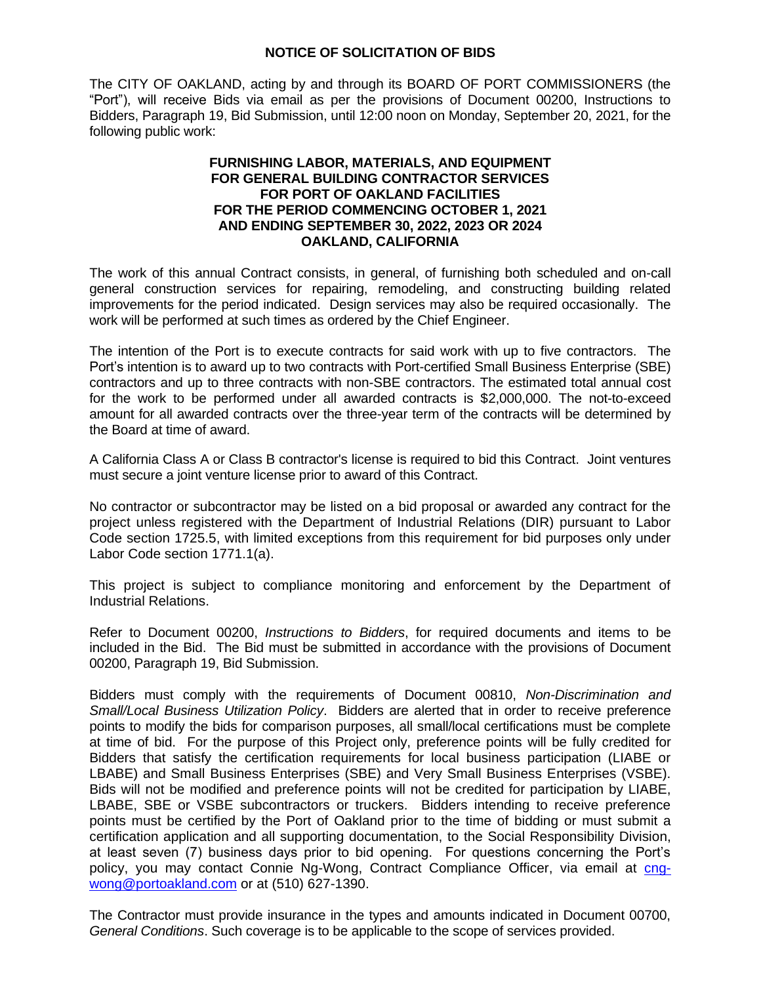## **NOTICE OF SOLICITATION OF BIDS**

The CITY OF OAKLAND, acting by and through its BOARD OF PORT COMMISSIONERS (the "Port"), will receive Bids via email as per the provisions of Document 00200, Instructions to Bidders, Paragraph 19, Bid Submission, until 12:00 noon on Monday, September 20, 2021, for the following public work:

## **FURNISHING LABOR, MATERIALS, AND EQUIPMENT FOR GENERAL BUILDING CONTRACTOR SERVICES FOR PORT OF OAKLAND FACILITIES FOR THE PERIOD COMMENCING OCTOBER 1, 2021 AND ENDING SEPTEMBER 30, 2022, 2023 OR 2024 OAKLAND, CALIFORNIA**

The work of this annual Contract consists, in general, of furnishing both scheduled and on-call general construction services for repairing, remodeling, and constructing building related improvements for the period indicated. Design services may also be required occasionally. The work will be performed at such times as ordered by the Chief Engineer.

The intention of the Port is to execute contracts for said work with up to five contractors. The Port's intention is to award up to two contracts with Port-certified Small Business Enterprise (SBE) contractors and up to three contracts with non-SBE contractors. The estimated total annual cost for the work to be performed under all awarded contracts is \$2,000,000. The not-to-exceed amount for all awarded contracts over the three-year term of the contracts will be determined by the Board at time of award.

A California Class A or Class B contractor's license is required to bid this Contract. Joint ventures must secure a joint venture license prior to award of this Contract.

No contractor or subcontractor may be listed on a bid proposal or awarded any contract for the project unless registered with the Department of Industrial Relations (DIR) pursuant to Labor Code section 1725.5, with limited exceptions from this requirement for bid purposes only under Labor Code section 1771.1(a).

This project is subject to compliance monitoring and enforcement by the Department of Industrial Relations.

Refer to Document 00200, *Instructions to Bidders*, for required documents and items to be included in the Bid. The Bid must be submitted in accordance with the provisions of Document 00200, Paragraph 19, Bid Submission.

Bidders must comply with the requirements of Document 00810, *Non-Discrimination and Small/Local Business Utilization Policy*. Bidders are alerted that in order to receive preference points to modify the bids for comparison purposes, all small/local certifications must be complete at time of bid. For the purpose of this Project only, preference points will be fully credited for Bidders that satisfy the certification requirements for local business participation (LIABE or LBABE) and Small Business Enterprises (SBE) and Very Small Business Enterprises (VSBE). Bids will not be modified and preference points will not be credited for participation by LIABE, LBABE, SBE or VSBE subcontractors or truckers. Bidders intending to receive preference points must be certified by the Port of Oakland prior to the time of bidding or must submit a certification application and all supporting documentation, to the Social Responsibility Division, at least seven (7) business days prior to bid opening. For questions concerning the Port's policy, you may contact Connie Ng-Wong, Contract Compliance Officer, via email at [cng](mailto:cng-wong@portoakland.com)[wong@portoakland.com](mailto:cng-wong@portoakland.com) or at (510) 627-1390.

The Contractor must provide insurance in the types and amounts indicated in Document 00700, *General Conditions*. Such coverage is to be applicable to the scope of services provided.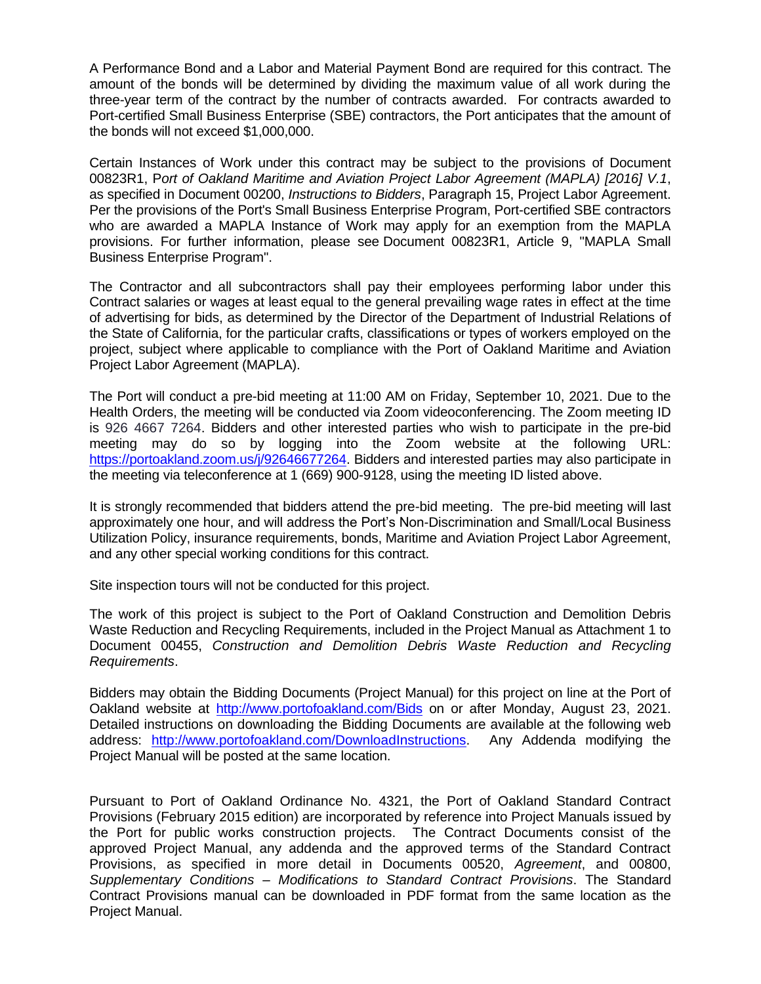A Performance Bond and a Labor and Material Payment Bond are required for this contract. The amount of the bonds will be determined by dividing the maximum value of all work during the three-year term of the contract by the number of contracts awarded. For contracts awarded to Port-certified Small Business Enterprise (SBE) contractors, the Port anticipates that the amount of the bonds will not exceed \$1,000,000.

Certain Instances of Work under this contract may be subject to the provisions of Document 00823R1, P*ort of Oakland Maritime and Aviation Project Labor Agreement (MAPLA) [2016] V.1*, as specified in Document 00200, *Instructions to Bidders*, Paragraph 15, Project Labor Agreement. Per the provisions of the Port's Small Business Enterprise Program, Port-certified SBE contractors who are awarded a MAPLA Instance of Work may apply for an exemption from the MAPLA provisions. For further information, please see Document 00823R1, Article 9, "MAPLA Small Business Enterprise Program".

The Contractor and all subcontractors shall pay their employees performing labor under this Contract salaries or wages at least equal to the general prevailing wage rates in effect at the time of advertising for bids, as determined by the Director of the Department of Industrial Relations of the State of California, for the particular crafts, classifications or types of workers employed on the project, subject where applicable to compliance with the Port of Oakland Maritime and Aviation Project Labor Agreement (MAPLA).

The Port will conduct a pre-bid meeting at 11:00 AM on Friday, September 10, 2021. Due to the Health Orders, the meeting will be conducted via Zoom videoconferencing. The Zoom meeting ID is 926 4667 7264. Bidders and other interested parties who wish to participate in the pre-bid meeting may do so by logging into the Zoom website at the following URL: [https://portoakland.zoom.us/j/92646677264.](https://portoakland.zoom.us/j/92646677264) Bidders and interested parties may also participate in the meeting via teleconference at 1 (669) 900-9128, using the meeting ID listed above.

It is strongly recommended that bidders attend the pre-bid meeting. The pre-bid meeting will last approximately one hour, and will address the Port's Non-Discrimination and Small/Local Business Utilization Policy, insurance requirements, bonds, Maritime and Aviation Project Labor Agreement, and any other special working conditions for this contract.

Site inspection tours will not be conducted for this project.

The work of this project is subject to the Port of Oakland Construction and Demolition Debris Waste Reduction and Recycling Requirements, included in the Project Manual as Attachment 1 to Document 00455, *Construction and Demolition Debris Waste Reduction and Recycling Requirements*.

Bidders may obtain the Bidding Documents (Project Manual) for this project on line at the Port of Oakland website at <http://www.portofoakland.com/Bids> on or after Monday, August 23, 2021. Detailed instructions on downloading the Bidding Documents are available at the following web address: [http://www.portofoakland.com/DownloadInstructions.](http://www.portofoakland.com/DownloadInstructions) Any Addenda modifying the Project Manual will be posted at the same location.

Pursuant to Port of Oakland Ordinance No. 4321, the Port of Oakland Standard Contract Provisions (February 2015 edition) are incorporated by reference into Project Manuals issued by the Port for public works construction projects. The Contract Documents consist of the approved Project Manual, any addenda and the approved terms of the Standard Contract Provisions, as specified in more detail in Documents 00520, *Agreement*, and 00800, *Supplementary Conditions – Modifications to Standard Contract Provisions*. The Standard Contract Provisions manual can be downloaded in PDF format from the same location as the Project Manual.